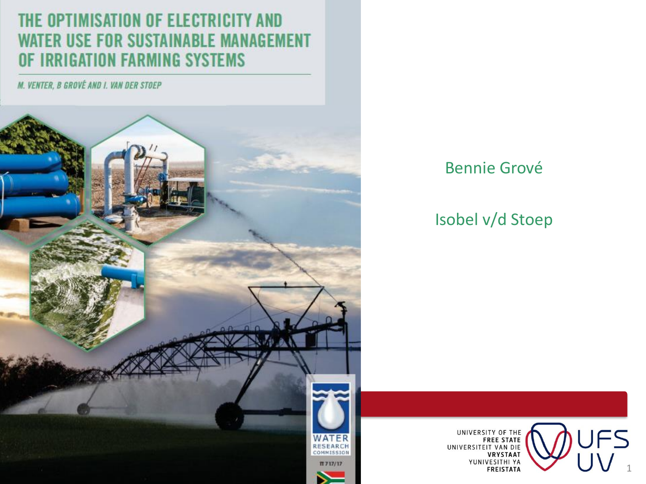### THE OPTIMISATION OF ELECTRICITY AND **WATER USE FOR SUSTAINABLE MANAGEMENT** OF IRRIGATION FARMING SYSTEMS

M. VENTER, B GROVÉ AND I. VAN DER STOEP



#### Bennie Grové

Isobel v/d Stoep



UNIVERSITY OF THE<br>FREE STATE<br>UNIVERSITEIT VAN DIE<br>VRYSTAAT<br>YUNIVESITHI YA<br>FREISTATA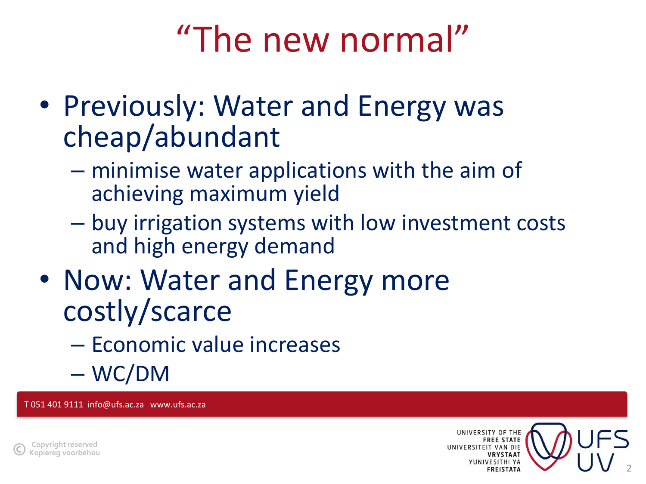# "The new normal"

- Previously: Water and Energy was cheap/abundant
	- minimise water applications with the aim of achieving maximum yield
	- buy irrigation systems with low investment costs and high energy demand
- Now: Water and Energy more costly/scarce
	- Economic value increases
	- WC/DM

T 051 401 9111 info@ufs.ac.za www.ufs.ac.za



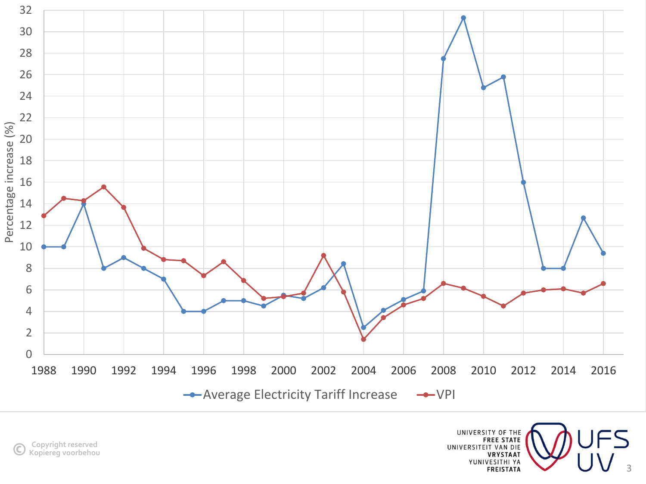

UNIVERSITY OF THE EREE STATE<br>UNIVERSITEIT VAN DIE **VRYSTAAT** YUNIVESITHI YA **FREISTATA**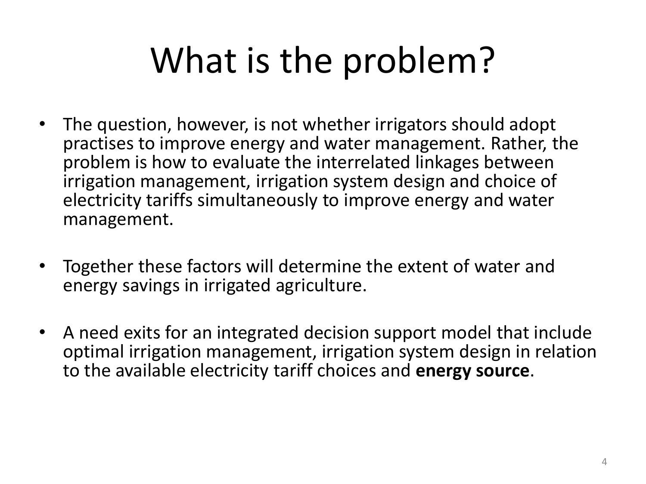# What is the problem?

- The question, however, is not whether irrigators should adopt practises to improve energy and water management. Rather, the problem is how to evaluate the interrelated linkages between irrigation management, irrigation system design and choice of electricity tariffs simultaneously to improve energy and water management.
- Together these factors will determine the extent of water and energy savings in irrigated agriculture.
- A need exits for an integrated decision support model that include optimal irrigation management, irrigation system design in relation to the available electricity tariff choices and **energy source**.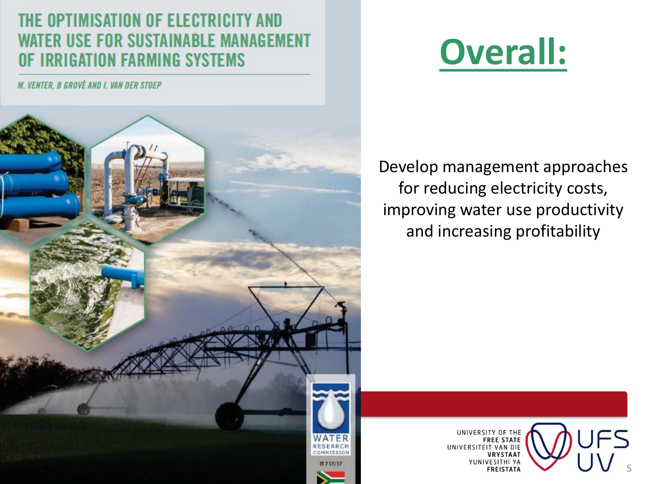### THE OPTIMISATION OF ELECTRICITY AND WATER USE FOR SUSTAINABLE MANAGEMENT **IRRIGATION FARMING SYSTEMS**

M. VENTER, B GROVÉ AND I. VAN DER STOEP



# **Overall:**

Develop management approaches for reducing electricity costs, improving water use productivity and increasing profitability

> UNIVERSITY OF THE FREE STATE<br>UNIVERSITEIT VAN DIE **VRYSTAAT** YUNIVESITHI YA **FREISTATA**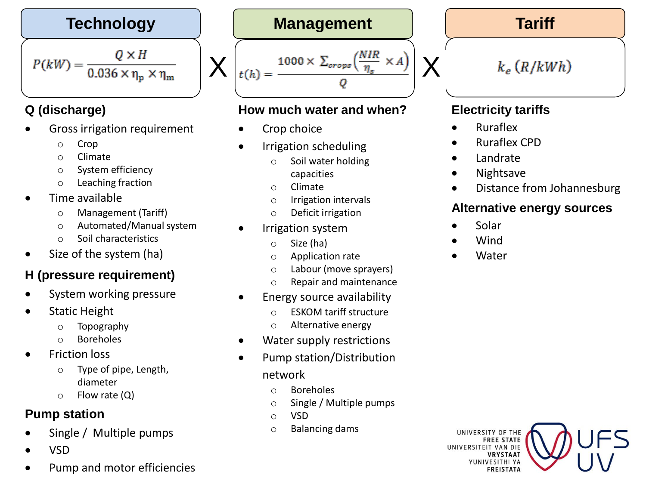$$
P(kW) = \frac{Q \times H}{0.036 \times \eta_{\rm p} \times \eta_{\rm m}}
$$

#### **Q (discharge)**

- Gross irrigation requirement
	- o Crop
	- o Climate
	- o System efficiency
	- o Leaching fraction
- Time available
	- o Management (Tariff)
	- o Automated/Manual system
	- o Soil characteristics
- Size of the system (ha)

#### **H (pressure requirement)**

- System working pressure
- Static Height
	- o Topography
	- o Boreholes
- **Friction loss** 
	- o Type of pipe, Length, diameter
	- o Flow rate (Q)

#### **Pump station**

- Single / Multiple pumps
- VSD
- Pump and motor efficiencies

#### **Technology Management Tariff**

$$
t(h) = \frac{1000 \times \sum_{crops} \left(\frac{NIR}{\eta_s} \times A\right)}{Q}
$$

#### **How much water and when?**

Crop choice

X

- Irrigation scheduling
	- o Soil water holding capacities
	- o Climate
	- o Irrigation intervals
	- o Deficit irrigation
- Irrigation system
	- o Size (ha)
	- o Application rate
	- o Labour (move sprayers)
	- o Repair and maintenance
- Energy source availability
	- o ESKOM tariff structure
	- o Alternative energy
- Water supply restrictions
- Pump station/Distribution network
	- o Boreholes
	- o Single / Multiple pumps
	- o VSD
	- o Balancing dams

 $k_e$  (R/kWh)

#### **Electricity tariffs**

• Ruraflex

X

- Ruraflex CPD
- **Landrate**
- Nightsave
- Distance from Johannesburg

6

#### **Alternative energy sources**

- Solar
- Wind
- **Water**

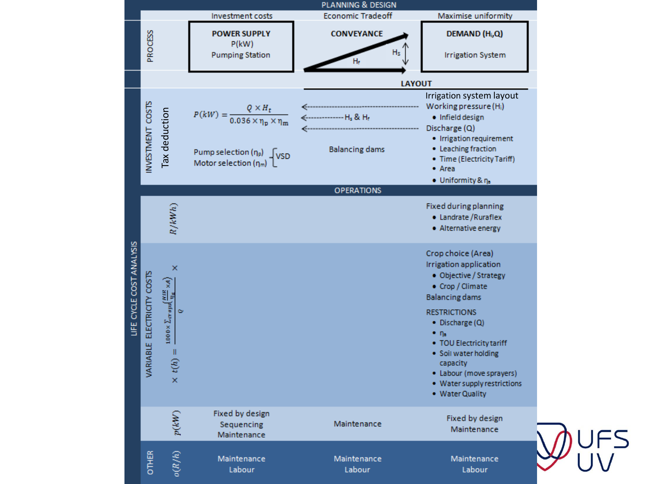

 $\mathbf{r}$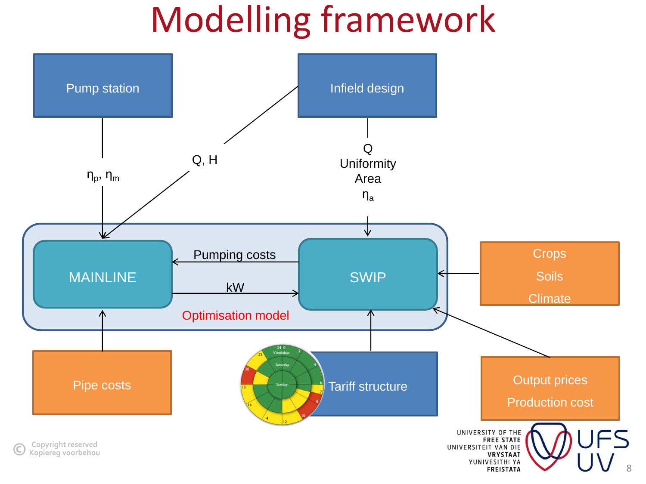# Modelling framework

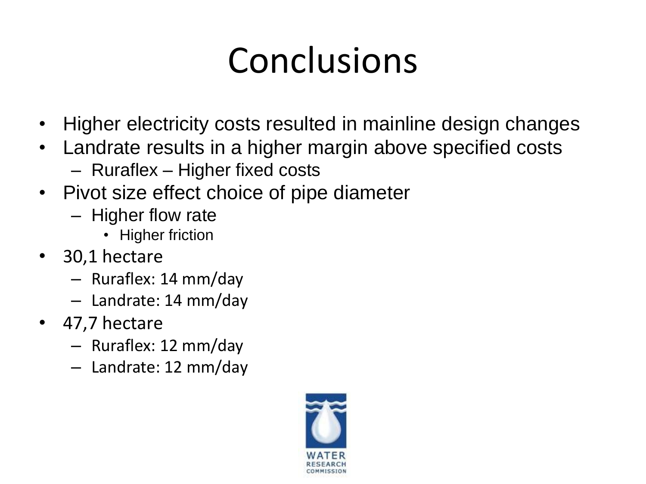# Conclusions

- Higher electricity costs resulted in mainline design changes
- Landrate results in a higher margin above specified costs
	- Ruraflex Higher fixed costs
- Pivot size effect choice of pipe diameter
	- Higher flow rate
		- Higher friction
- 30,1 hectare
	- Ruraflex: 14 mm/day
	- Landrate: 14 mm/day
- 47,7 hectare
	- Ruraflex: 12 mm/day
	- Landrate: 12 mm/day

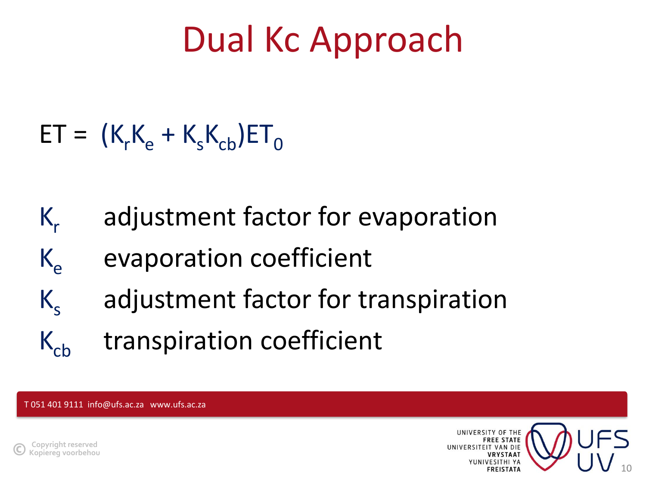# Dual Kc Approach

- $ET = (K_rK_\text{e} + K_sK_\text{ch})ET_0$
- $K_r$ adjustment factor for evaporation
- $K_e$  evaporation coefficient
- $K_{s}$ adjustment factor for transpiration
- $K_{cb}$  transpiration coefficient

T 051 401 9111 info@ufs.ac.za www.ufs.ac.za



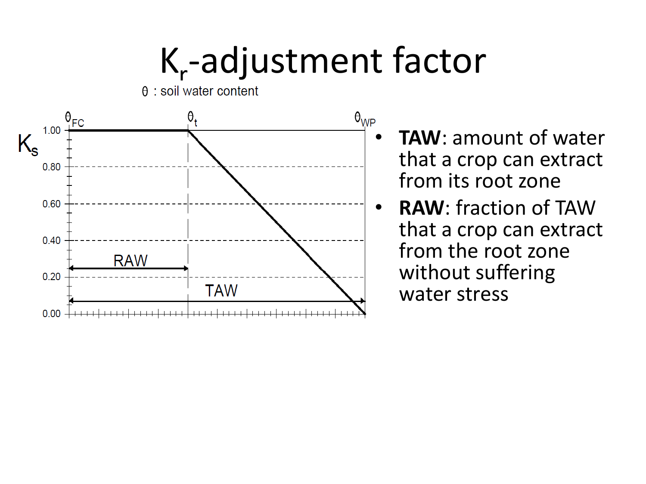# K-adjustment factor



- $\frac{\theta_{WP}}{\theta}$  **TAW**: amount of water that a crop can extract from its root zone
	- **RAW**: fraction of TAW that a crop can extract from the root zone without suffering water stress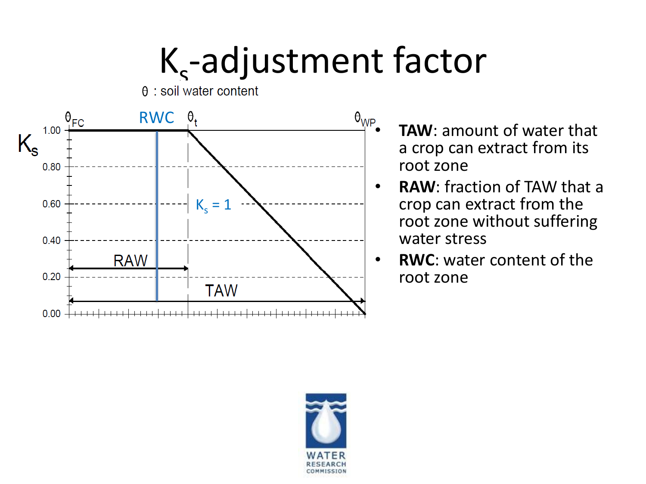# K<sub>s</sub>-adjustment factor

RWC  $\theta_{\sf FC}$  $\theta_{t}$ 1.00  $\mathsf{K}_{\mathsf{s}}$ 0.80  $K_s = 1$ 0.60 0.40 **RAW**  $0.20$ **TAW**  $0.00 + + + + + + + +$ 

- $\stackrel{\theta_{WP}}{\longrightarrow}$  **TAW**: amount of water that a crop can extract from its root zone
	- **RAW**: fraction of TAW that a crop can extract from the root zone without suffering water stress
	- **RWC**: water content of the root zone

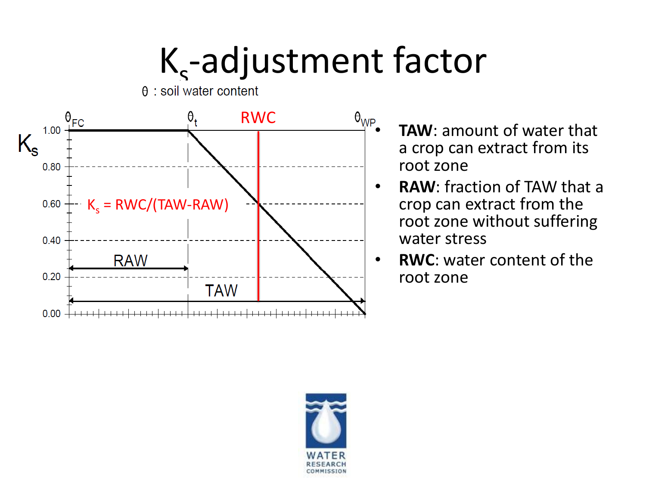# K<sub>s</sub>-adjustment factor



- $\stackrel{\theta_{WP}}{\longrightarrow}$  **TAW**: amount of water that a crop can extract from its root zone
	- **RAW**: fraction of TAW that a crop can extract from the root zone without suffering water stress
	- **RWC**: water content of the root zone

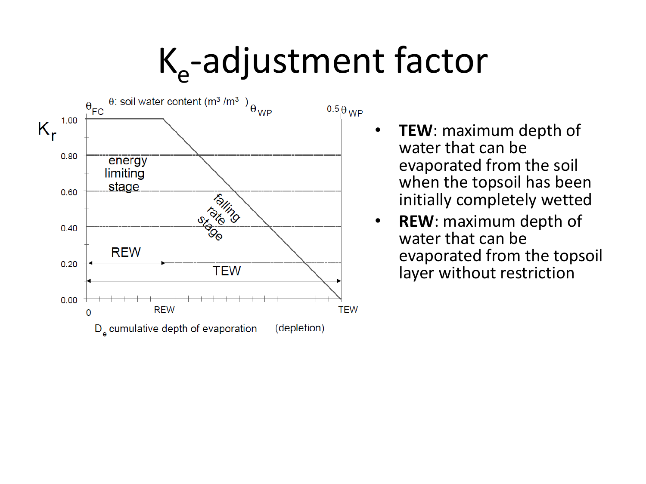# K<sub>e</sub>-adjustment factor



- **TEW**: maximum depth of water that can be evaporated from the soil when the topsoil has been initially completely wetted
- **REW**: maximum depth of water that can be evaporated from the topsoil layer without restriction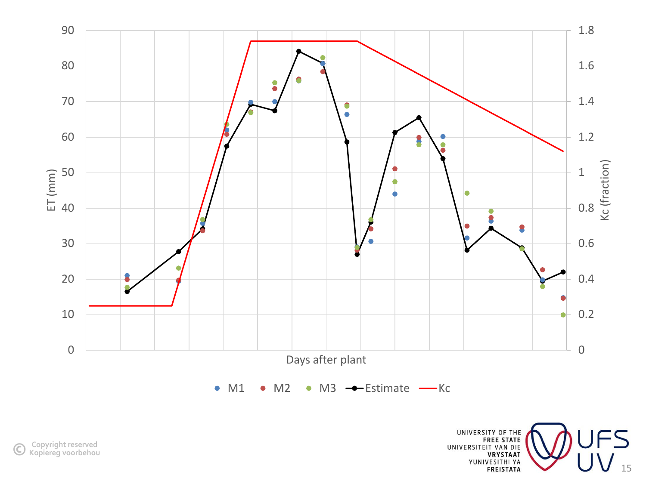

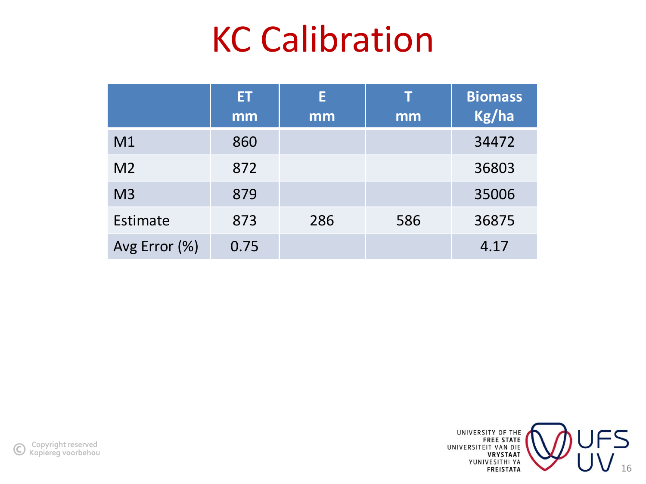## KC Calibration

|                | ET.<br>mm | E<br>mm | Т<br>mm | <b>Biomass</b><br>Kg/ha |
|----------------|-----------|---------|---------|-------------------------|
| M <sub>1</sub> | 860       |         |         | 34472                   |
| M <sub>2</sub> | 872       |         |         | 36803                   |
| M <sub>3</sub> | 879       |         |         | 35006                   |
| Estimate       | 873       | 286     | 586     | 36875                   |
| Avg Error (%)  | 0.75      |         |         | 4.17                    |

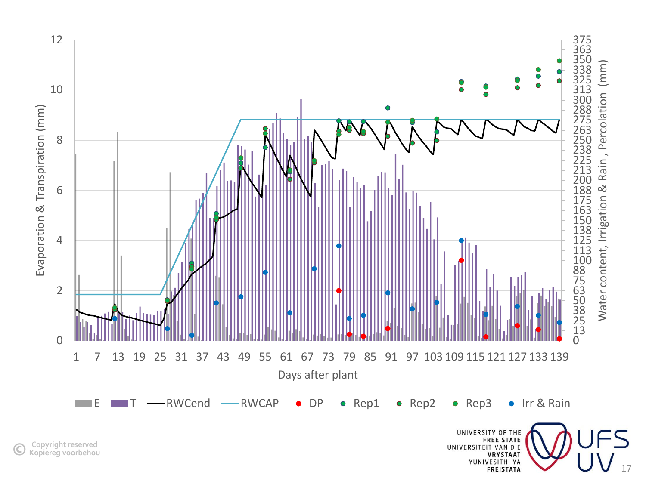

**Copyright reserved ©Kopiereg voorbehou**

VRYSTAAT<br>
YUNIVESITHI YA<br>
FREISTATA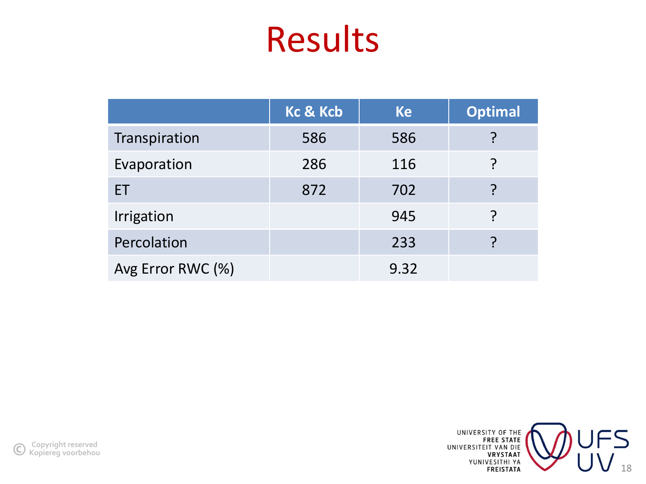### Results

|                   | <b>Kc &amp; Kcb</b> | <b>Ke</b> | <b>Optimal</b> |
|-------------------|---------------------|-----------|----------------|
| Transpiration     | 586                 | 586       |                |
| Evaporation       | 286                 | 116       | ၣ              |
| ET                | 872                 | 702       |                |
| Irrigation        |                     | 945       |                |
| Percolation       |                     | 233       |                |
| Avg Error RWC (%) |                     | 9.32      |                |

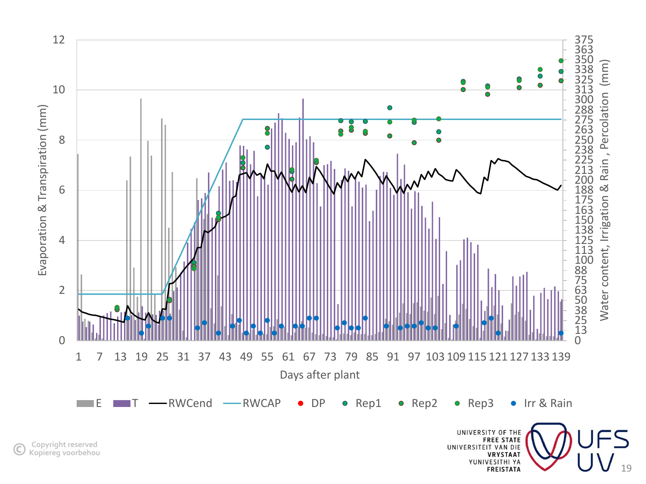

**Copyright reserved ©Kopiereg voorbehou**

**FREE STATE**<br>FREE STATE<br>UNIVERSITEIT VAN DIE<br>VUNIVESITHI YA<br>FREISTATA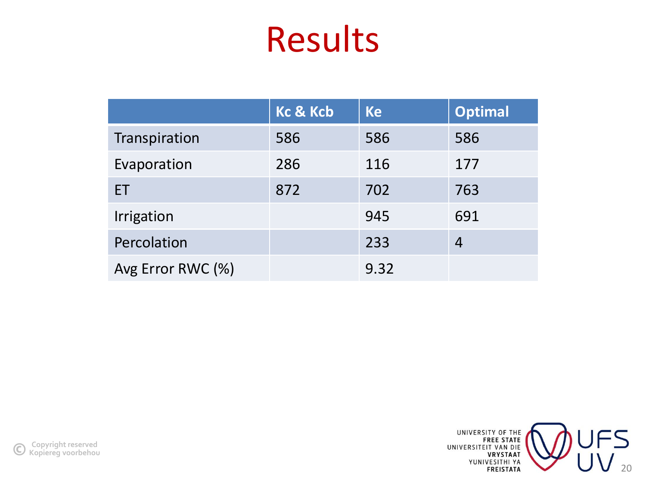## Results

|                   | <b>Kc &amp; Kcb</b> | <b>Ke</b> | <b>Optimal</b> |
|-------------------|---------------------|-----------|----------------|
| Transpiration     | 586                 | 586       | 586            |
| Evaporation       | 286                 | 116       | 177            |
| ET.               | 872                 | 702       | 763            |
| Irrigation        |                     | 945       | 691            |
| Percolation       |                     | 233       | 4              |
| Avg Error RWC (%) |                     | 9.32      |                |